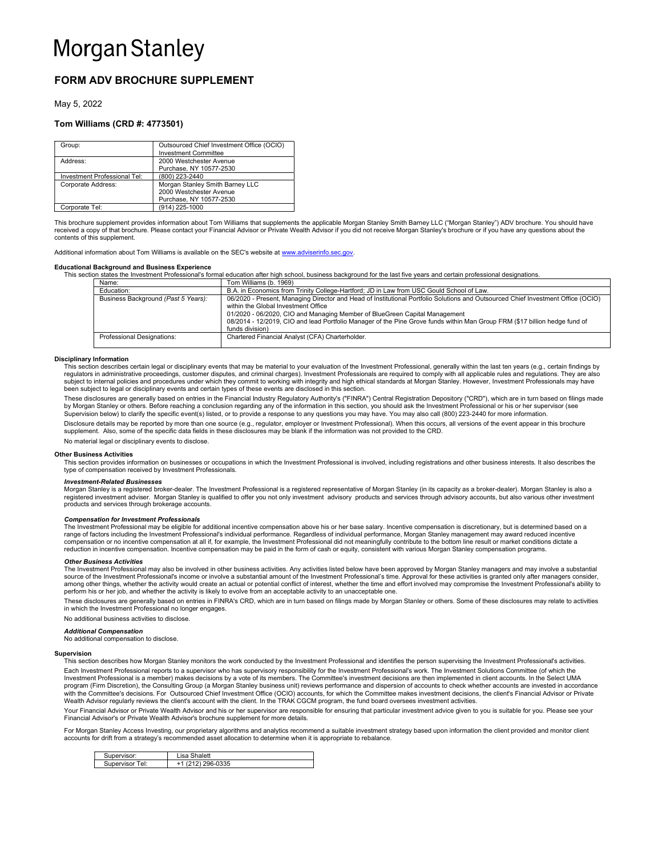# FORM ADV BROCHURE SUPPLEMENT

May 5, 2022

# Tom Williams (CRD #: 4773501)

| Group:                       | Outsourced Chief Investment Office (OCIO)<br><b>Investment Committee</b> |
|------------------------------|--------------------------------------------------------------------------|
| Address:                     | 2000 Westchester Avenue<br>Purchase, NY 10577-2530                       |
| Investment Professional Tel: | (800) 223-2440                                                           |
| Corporate Address:           | Morgan Stanley Smith Barney LLC                                          |
|                              | 2000 Westchester Avenue                                                  |
|                              | Purchase, NY 10577-2530                                                  |
| Corporate Tel:               | (914) 225-1000                                                           |

This brochure supplement provides information about Tom Williams that supplements the applicable Morgan Stanley Smith Barney LLC ("Morgan Stanley") ADV brochure. You should have received a copy of that brochure. Please contact your Financial Advisor or Private Wealth Advisor if you did not receive Morgan Stanley's brochure or if you have any questions about the contents of this supplement.

Additional information about Tom Williams is available on the SEC's website at www.adviserinfo.sec.gov.

## Educational Background and Business Experience

This section states the Investment Professional's formal education after high school, business background for the last five years and certain professional designation

| Name:                               | Tom Williams (b. 1969)                                                                                                           |
|-------------------------------------|----------------------------------------------------------------------------------------------------------------------------------|
| Education:                          | B.A. in Economics from Trinity College-Hartford; JD in Law from USC Gould School of Law.                                         |
| Business Background (Past 5 Years): | 06/2020 - Present, Managing Director and Head of Institutional Portfolio Solutions and Outsourced Chief Investment Office (OCIO) |
|                                     | within the Global Investment Office                                                                                              |
|                                     | 01/2020 - 06/2020, CIO and Managing Member of BlueGreen Capital Management                                                       |
|                                     | 08/2014 - 12/2019, CIO and lead Portfolio Manager of the Pine Grove funds within Man Group FRM (\$17 billion hedge fund of       |
|                                     | funds division)                                                                                                                  |
| Professional Designations:          | Chartered Financial Analyst (CFA) Charterholder.                                                                                 |
|                                     |                                                                                                                                  |

#### Disciplinary Information

This section describes certain legal or disciplinary events that may be material to your evaluation of the Investment Professional, generally within the last ten years (e.g., certain findings by<br>regulators in administrativ subject to internal policies and procedures under which they commit to working with integrity and high ethical standards at Morgan Stanley. However, Investment Professionals may have been subject to legal or disciplinary events and certain types of these events are disclosed in this section.

These disclosures are generally based on entries in the Financial Industry Regulatory Authority's ("FINRA") Central Registration Depository ("CRD"), which are in turn based on filings made by Morgan Stanley or others. Before reaching a conclusion regarding any of the information in this section, you should ask the Investment Professional or his or her supervisor (see<br>Supervision below) to clarify the specifi

Disclosure details may be reported by more than one source (e.g., regulator, employer or Investment Professional). When this occurs, all versions of the event appear in this brochure supplement. Also, some of the specific data fields in these disclosures may be blank if the information was not provided to the CRD.

No material legal or disciplinary events to disclose.

#### Other Business Activities

This section provides information on businesses or occupations in which the Investment Professional is involved, including registrations and other business interests. It also describes the type of compensation received by Investment Professionals.

## Investment-Related Businesses

Morgan Stanley is a registered broker-dealer. The Investment Professional is a registered representative of Morgan Stanley (in its capacity as a broker-dealer). Morgan Stanley is also a<br>registered investment adviser. Morga products and services through brokerage accounts.

#### Compensation for Investment Professionals

The Investment Professional may be eligible for additional incentive compensation above his or her base salary. Incentive compensation is discretionary, but is determined based on a<br>range of factors including the Investmen compensation or no incentive compensation at all if, for example, the Investment Professional did not meaningfully contribute to the bottom line result or market conditions dictate a reduction in incentive compensation. Incentive compensation may be paid in the form of cash or equity, consistent with various Morgan Stanley compensation programs.

#### Other Business Activities

The Investment Professional may also be involved in other business activities. Any activities listed below have been approved by Morgan Stanley managers and may involve a substantial<br>source of the Investment Professional's among other things, whether the activity would create an actual or potential conflict of interest, whether the time and effort involved may compromise the Investment Professional's ability to<br>perform his or her job, and wh

These disclosures are generally based on entries in FINRA's CRD, which are in turn based on filings made by Morgan Stanley or others. Some of these disclosures may relate to activities in which the Investment Professional no longer engages. No additional business activities to disclose.

## Additional Compensation

No additional compensation to disclose.

## Supervision

This section describes how Morgan Stanley monitors the work conducted by the Investment Professional and identifies the person supervising the Investment Professional's activities.

Each Investment Professional reports to a supervisor who has supervisory responsibility for the Investment Professional's work. The Investment Solutions Committee (of which the Investment Professional is a member) makes decisions by a vote of its members. The Committee's investment decisions are then implemented in client accounts. In the Select UMA program (Firm Discretion), the Consulting Group (a Morgan Stanley business unit) reviews performance and dispersion of accounts to check whether accounts are invested in accordance<br>with the Committee's decisions. For Outs Wealth Advisor regularly reviews the client's account with the client. In the TRAK CGCM program, the fund board oversees investment activities.

Your Financial Advisor or Private Wealth Advisor and his or her supervisor are responsible for ensuring that particular investment advice given to you is suitable for you. Please see your Financial Advisor's or Private Wealth Advisor's brochure supplement for more details.

For Morgan Stanley Access Investing, our proprietary algorithms and analytics recommend a suitable investment strategy based upon information the client provided and monitor client accounts for drift from a strategy's recommended asset allocation to determine when it is appropriate to rebalance.

| Supervisor:        | halett<br>usa Sh |
|--------------------|------------------|
| Supervisor<br>Tel: | 296-0335         |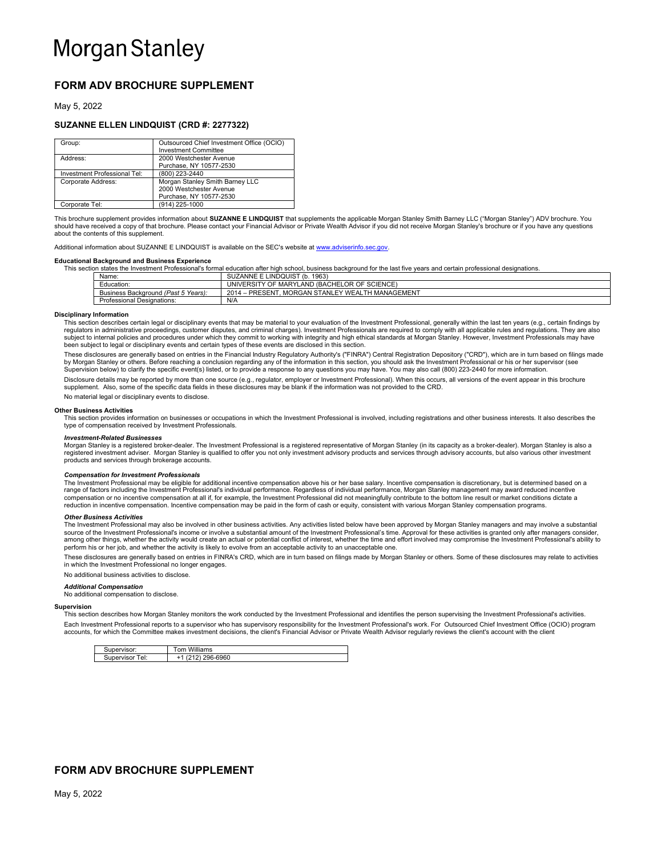# FORM ADV BROCHURE SUPPLEMENT

May 5, 2022

## SUZANNE ELLEN LINDQUIST (CRD #: 2277322)

| Group:                       | Outsourced Chief Investment Office (OCIO)<br><b>Investment Committee</b> |
|------------------------------|--------------------------------------------------------------------------|
| Address:                     | 2000 Westchester Avenue                                                  |
|                              | Purchase, NY 10577-2530                                                  |
| Investment Professional Tel: | (800) 223-2440                                                           |
| Corporate Address:           | Morgan Stanley Smith Barney LLC                                          |
|                              | 2000 Westchester Avenue                                                  |
|                              | Purchase, NY 10577-2530                                                  |
| Corporate Tel:               | (914) 225-1000                                                           |

This brochure supplement provides information about **SUZANNE E LINDQUIST** that supplements the applicable Morgan Stanley Smith Barney LLC ("Morgan Stanley") ADV brochure. You<br>should have received a copy of that brochure. P about the contents of this supplement.

Additional information about SUZANNE E LINDQUIST is available on the SEC's website at www.adviserinfo.sec.gov.

#### Educational Background and Business Experience

This section states the Investment Professional's formal education after high school, business background for the last five years and certain professional designations.  $SUIZANNE E IINDOLIIST (b. 1963)$ 

| .                                        |                                                                       |
|------------------------------------------|-----------------------------------------------------------------------|
| - -<br>⊟ducatıon:                        | LAND (BACHELOR OF SCIENCE)<br>UNIVERSITY OF MARYL                     |
| 5 Years):<br>Business Background (Past 5 | $2014 -$<br>EY WEALTH MANAGEMENT<br>. MORGAN STANLEY<br><b>PRESEN</b> |
| Professional<br>I Designations:          | N/A                                                                   |

## Disciplinary Information

This section describes certain legal or disciplinary events that may be material to your evaluation of the Investment Professional, generally within the last ten years (e.g., certain findings by regulators in administrative proceedings, customer disputes, and criminal charges). Investment Professionals are required to comply with all applicable rules and regulations. They are also<br>subject to internal policies and been subject to legal or disciplinary events and certain types of these events are disclosed in this section.

These disclosures are generally based on entries in the Financial Industry Regulatory Authority's ("FINRA") Central Registration Depository ("CRD"), which are in turn based on filings made by Morgan Stanley or others. Before reaching a conclusion regarding any of the information in this section, you should ask the Investment Professional or his or her supervisor (see Supervision below) to clarify the specific event(s) listed, or to provide a response to any questions you may have. You may also call (800) 223-2440 for more information.

Disclosure details may be reported by more than one source (e.g., regulator, employer or Investment Professional). When this occurs, all versions of the event appear in this brochure supplement. Also, some of the specific data fields in these disclosures may be blank if the information was not provided to the CRD.

No material legal or disciplinary events to disclose.

#### Other Business Activities

This section provides information on businesses or occupations in which the Investment Professional is involved, including registrations and other business interests. It also describes the type of compensation received by Investment Professionals.

#### Investment-Related Businesses

Morgan Stanley is a registered broker-dealer. The Investment Professional is a registered representative of Morgan Stanley (in its capacity as a broker-dealer). Morgan Stanley is also a registered investment adviser. Morgan Stanley is qualified to offer you not only investment advisory products and services through advisory accounts, but also various other investment products and services through brokerage accounts.

#### Compensation for Investment Professionals

The Investment Professional may be eligible for additional incentive compensation above his or her base salary. Incentive compensation is discretionary, but is determined based on a range of factors including the Investment Professional's individual performance. Regardless of individual performance, Morgan Stanley management may award reduced incentive compensation or no incentive compensation at all if, for example, the Investment Professional did not meaningfully contribute to the bottom line result or market conditions dictate a reduction in incentive compensation. Incentive compensation may be paid in the form of cash or equity, consistent with various Morgan Stanley compensation programs.

### Other Business Activities

The Investment Professional may also be involved in other business activities. Any activities listed below have been approved by Morgan Stanley managers and may involve a substantial source of the Investment Professional's income or involve a substantial amount of the Investment Professional's time. Approval for these activities is granted only after managers consider,<br>among other things, whether the a perform his or her job, and whether the activity is likely to evolve from an acceptable activity to an unacceptable one.

These disclosures are generally based on entries in FINRA's CRD, which are in turn based on filings made by Morgan Stanley or others. Some of these disclosures may relate to activities in which the Investment Professional no longer engages.

#### No additional business activities to disclose.

Additional Compensation

No additional compensation to disclose.

#### Supervision

This section describes how Morgan Stanley monitors the work conducted by the Investment Professional and identifies the person supervising the Investment Professional's activities. Each Investment Professional reports to a supervisor who has supervisory responsibility for the Investment Professional's work. For Outsourced Chief Investment Office (OCIO) program accounts, for which the Committee makes investment decisions, the client's Financial Advisor or Private Wealth Advisor regularly reviews the client's account with the client

| Supervisor: | Williams<br>.0 <sub>m</sub> |
|-------------|-----------------------------|
| ⊤el:        | 296-6960                    |
| Supervisor  | . L                         |

# FORM ADV BROCHURE SUPPLEMENT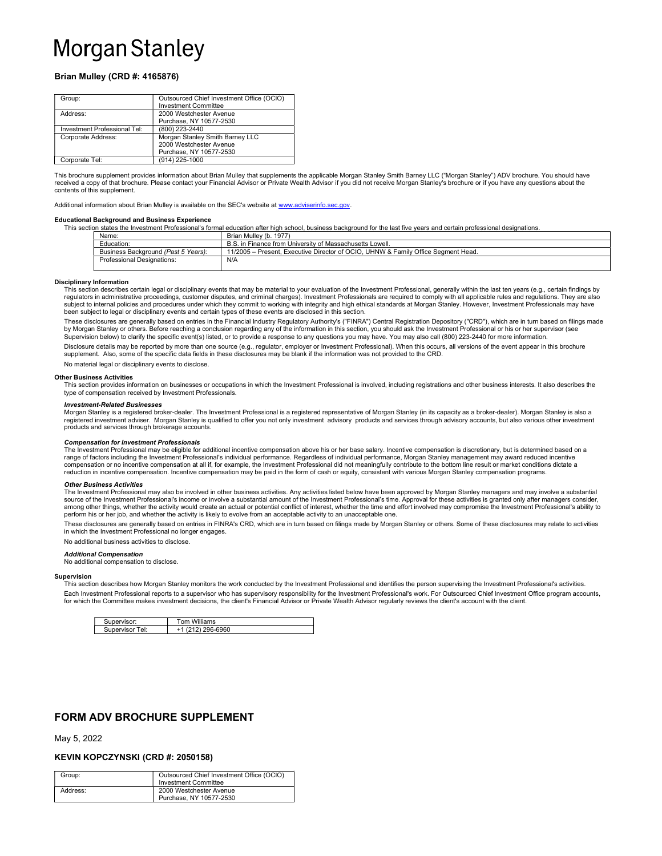# Brian Mulley (CRD #: 4165876)

| Group:                       | Outsourced Chief Investment Office (OCIO) |
|------------------------------|-------------------------------------------|
|                              | <b>Investment Committee</b>               |
| Address:                     | 2000 Westchester Avenue                   |
|                              | Purchase, NY 10577-2530                   |
| Investment Professional Tel: | (800) 223-2440                            |
| Corporate Address:           | Morgan Stanley Smith Barney LLC           |
|                              | 2000 Westchester Avenue                   |
|                              | Purchase, NY 10577-2530                   |
| Corporate Tel:               | (914) 225-1000                            |

This brochure supplement provides information about Brian Mulley that supplements the applicable Morgan Stanley Smith Barney LLC ("Morgan Stanley") ADV brochure. You should have received a copy of that brochure. Please contact your Financial Advisor or Private Wealth Advisor if you did not receive Morgan Stanley's brochure or if you have any questions about the contents of this supplement.

Additional information about Brian Mulley is available on the SEC's website at www.adviserinfo.sec.gov.

# Educational Background and Business Experience

essional's formal education after high school, business background for the last five years and certain professional designatio

| Name:                               | Brian Mulley (b. 1977)                                                            |
|-------------------------------------|-----------------------------------------------------------------------------------|
| Education:                          | B.S. in Finance from University of Massachusetts Lowell.                          |
| Business Background (Past 5 Years): | 11/2005 – Present, Executive Director of OCIO, UHNW & Family Office Segment Head. |
| <b>Professional Designations:</b>   | N/A                                                                               |
|                                     |                                                                                   |

#### Disciplinary Information

This section describes certain legal or disciplinary events that may be material to your evaluation of the Investment Professional, generally within the last ten years (e.g., certain findings by<br>regulators in administrativ subject to internal policies and procedures under which they commit to working with integrity and high ethical standards at Morgan Stanley. However, Investment Professionals may have been subject to legal or disciplinary events and certain types of these events are disclosed in this section.

These disclosures are generally based on entries in the Financial Industry Regulatory Authority's ("FINRA") Central Registration Depository ("CRD"), which are in turn based on filings made<br>by Morgan Stanley or others. Befo

Disclosure details may be reported by more than one source (e.g., regulator, employer or Investment Professional). When this occurs, all versions of the event appear in this brochure supplement. Also, some of the specific data fields in these disclosures may be blank if the information was not provided to the CRD.

No material legal or disciplinary events to disclose.

#### Other Business Activities

This section provides information on businesses or occupations in which the Investment Professional is involved, including registrations and other business interests. It also describes the type of compensation received by Investment Professionals.

## Investment-Related Businesses

Morgan Stanley is a registered broker-dealer. The Investment Professional is a registered representative of Morgan Stanley (in its capacity as a broker-dealer). Morgan Stanley is also a<br>registered investment adviser. Morga products and services through brokerage accounts

#### Compensation for Investment Professionals

The Investment Professional may be eligible for additional incentive compensation above his or her base salary. Incentive compensation is discretionary, but is determined based on a range of factors including the Investment Professional's individual performance. Regardless of individual performance, Morgan Stanley management may award reduced incentive<br>compensation or no incentive compensation at all reduction in incentive compensation. Incentive compensation may be paid in the form of cash or equity, consistent with various Morgan Stanley compensation programs.

#### Other Business Activities

The Investment Professional may also be involved in other business activities. Any activities listed below have been approved by Morgan Stanley managers and may involve a substantial<br>source of the Investment Professional's among other things, whether the activity would create an actual or potential conflict of interest, whether the time and effort involved may compromise the Investment Professional's ability to perform his or her job, and whether the activity is likely to evolve from an acceptable activity to an unacceptable one.

These disclosures are generally based on entries in FINRA's CRD, which are in turn based on filings made by Morgan Stanley or others. Some of these disclosures may relate to activities<br>in which the Investment Professional

No additional business activities to disclose.

## Additional Compensation

No additional compensation to disclose.

#### Supervision

This section describes how Morgan Stanley monitors the work conducted by the Investment Professional and identifies the person supervising the Investment Professional's activities. Each Investment Professional reports to a supervisor who has supervisory responsibility for the Investment Professional's work. For Outsourced Chief Investment Office program accounts, for which the Committee makes investment decisions, the client's Financial Advisor or Private Wealth Advisor regularly reviews the client's account with the client.

| Supervisor:        | Tom Williams   |
|--------------------|----------------|
| Supervisor<br>Tel: | (212) 296-6960 |

# FORM ADV BROCHURE SUPPLEMENT

## May 5, 2022

# KEVIN KOPCZYNSKI (CRD #: 2050158)

| Group:   | Outsourced Chief Investment Office (OCIO)<br><b>Investment Committee</b> |
|----------|--------------------------------------------------------------------------|
| Address: | 2000 Westchester Avenue<br>Purchase, NY 10577-2530                       |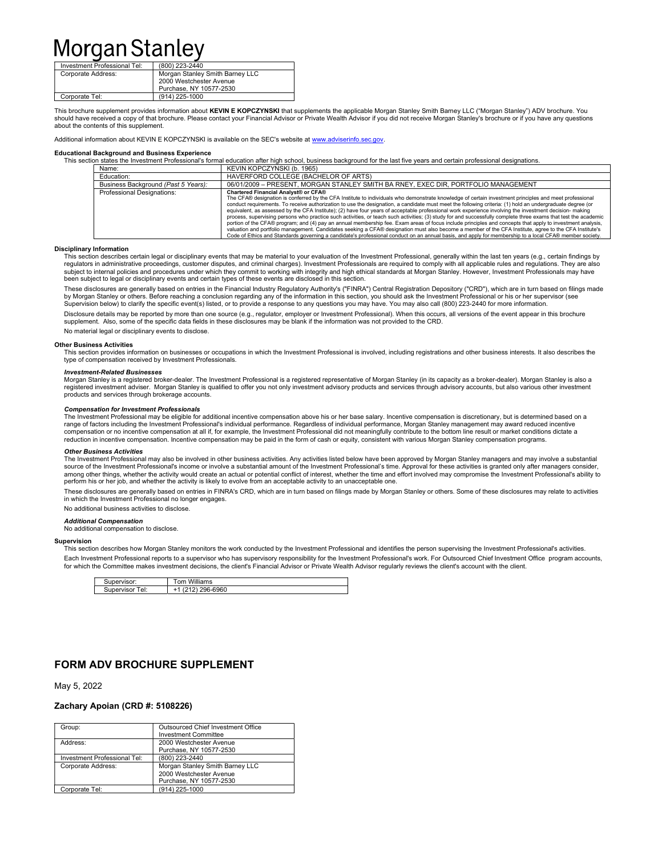| Investment Professional Tel: | (800) 223-2440                                             |
|------------------------------|------------------------------------------------------------|
| Corporate Address:           | Morgan Stanley Smith Barney LLC<br>2000 Westchester Avenue |
|                              | Purchase, NY 10577-2530                                    |
| Corporate Tel:               | (914) 225-1000                                             |

This brochure supplement provides information about **KEVIN E KOPCZYNSKI** that supplements the applicable Morgan Stanley Smith Barney LLC ("Morgan Stanley") ADV brochure. You<br>should have received a copy of that brochure. Pl about the contents of this supplement.

Additional information about KEVIN E KOPCZYNSKI is available on the SEC's website at www.adviserinfo.sec.gov.

### Educational Background and Business Experience

|       |                                     | This section states the Investment Professional's formal education after high school, business background for the last five vears and certain professional designations,                                                                                                                                                                                                                                                                                                                                                                                                                                                                                                                                                                                                                                                                                                                                                                                                                                                                                                                                                                                                   |
|-------|-------------------------------------|----------------------------------------------------------------------------------------------------------------------------------------------------------------------------------------------------------------------------------------------------------------------------------------------------------------------------------------------------------------------------------------------------------------------------------------------------------------------------------------------------------------------------------------------------------------------------------------------------------------------------------------------------------------------------------------------------------------------------------------------------------------------------------------------------------------------------------------------------------------------------------------------------------------------------------------------------------------------------------------------------------------------------------------------------------------------------------------------------------------------------------------------------------------------------|
| Name: |                                     | KEVIN KOPCZYNSKI (b. 1965)                                                                                                                                                                                                                                                                                                                                                                                                                                                                                                                                                                                                                                                                                                                                                                                                                                                                                                                                                                                                                                                                                                                                                 |
|       | Education:                          | HAVERFORD COLLEGE (BACHELOR OF ARTS)                                                                                                                                                                                                                                                                                                                                                                                                                                                                                                                                                                                                                                                                                                                                                                                                                                                                                                                                                                                                                                                                                                                                       |
|       | Business Background (Past 5 Years): | 06/01/2009 - PRESENT, MORGAN STANLEY SMITH BA RNEY, EXEC DIR, PORTFOLIO MANAGEMENT                                                                                                                                                                                                                                                                                                                                                                                                                                                                                                                                                                                                                                                                                                                                                                                                                                                                                                                                                                                                                                                                                         |
|       | <b>Professional Designations:</b>   | Chartered Financial Analyst® or CFA®<br>The CFA® designation is conferred by the CFA Institute to individuals who demonstrate knowledge of certain investment principles and meet professional<br>conduct requirements. To receive authorization to use the designation, a candidate must meet the following criteria: (1) hold an undergraduate degree (or<br>equivalent, as assessed by the CFA Institute); (2) have four years of acceptable professional work experience involving the investment decision- making<br>process, supervising persons who practice such activities, or teach such activities; (3) study for and successfully complete three exams that test the academic<br>portion of the CFA® program; and (4) pay an annual membership fee. Exam areas of focus include principles and concepts that apply to investment analysis,<br>valuation and portfolio management. Candidates seeking a CFA® designation must also become a member of the CFA Institute, agree to the CFA Institute's<br>Code of Ethics and Standards governing a candidate's professional conduct on an annual basis, and apply for membership to a local CFA® member society. |

### Disciplinary Information

This section describes certain legal or disciplinary events that may be material to your evaluation of the Investment Professional, generally within the last ten years (e.g., certain findings by regulators in administrative proceedings, customer disputes, and criminal charges). Investment Professionals are required to comply with all applicable rules and regulations. They are also<br>subject to internal policies and been subject to legal or disciplinary events and certain types of these events are disclosed in this section.

These disclosures are generally based on entries in the Financial Industry Regulatory Authority's ("FINRA") Central Registration Depository ("CRD"), which are in turn based on filings made by Morgan Stanley or others. Before reaching a conclusion regarding any of the information in this section, you should ask the Investment Professional or his or her supervisor (see Supervision below) to clarify the specific event(s) listed, or to provide a response to any questions you may have. You may also call (800) 223-2440 for more information.

Disclosure details may be reported by more than one source (e.g., regulator, employer or Investment Professional). When this occurs, all versions of the event appear in this brochure supplement. Also, some of the specific data fields in these disclosures may be blank if the information was not provided to the CRD.

No material legal or disciplinary events to disclose.

### Other Business Activities

This section provides information on businesses or occupations in which the Investment Professional is involved, including registrations and other business interests. It also describes the type of compensation received by Investment Professionals.

#### Investment-Related Businesses

Morgan Stanley is a registered broker-dealer. The Investment Professional is a registered representative of Morgan Stanley (in its capacity as a broker-dealer). Morgan Stanley is also a registered investment adviser. Morgan Stanley is qualified to offer you not only investment advisory products and services through advisory accounts, but also various other investment products and services through brokerage accounts.

#### Compensation for Investment Professionals

The Investment Professional may be eligible for additional incentive compensation above his or her base salary. Incentive compensation is discretionary, but is determined based on a range of factors including the Investment Professional's individual performance. Regardless of individual performance, Morgan Stanley management may award reduced incentive compensation or no incentive compensation at all if, for example, the Investment Professional did not meaningfully contribute to the bottom line result or market conditions dictate a reduction in incentive compensation. Incentive compensation may be paid in the form of cash or equity, consistent with various Morgan Stanley compensation programs.

## Other Business Activities

The Investment Professional may also be involved in other business activities. Any activities listed below have been approved by Morgan Stanley managers and may involve a substantial source of the Investment Professional's income or involve a substantial amount of the Investment Professional's time. Approval for these activities is granted only after managers consider,<br>among other things, whether the a perform his or her job, and whether the activity is likely to evolve from an acceptable activity to an unacceptable one.

These disclosures are generally based on entries in FINRA's CRD, which are in turn based on filings made by Morgan Stanley or others. Some of these disclosures may relate to activities in which the Investment Professional no longer engages.

No additional business activities to disclose.

#### Additional Compensation

No additional compensation to disclose.

#### Supervision

This section describes how Morgan Stanley monitors the work conducted by the Investment Professional and identifies the person supervising the Investment Professional's activities. Each Investment Professional reports to a supervisor who has supervisory responsibility for the Investment Professional's work. For Outsourced Chief Investment Office program accounts, for which the Committee makes investment decisions, the client's Financial Advisor or Private Wealth Advisor regularly reviews the client's account with the client.

| .visor<br>⊶ו | Williams<br>nm      |
|--------------|---------------------|
| ™el:<br>าคr  | 96-6960<br>-<br>. . |

# FORM ADV BROCHURE SUPPLEMENT

May 5, 2022

## Zachary Apoian (CRD #: 5108226)

| Group:                       | Outsourced Chief Investment Office |
|------------------------------|------------------------------------|
|                              | <b>Investment Committee</b>        |
| Address:                     | 2000 Westchester Avenue            |
|                              | Purchase, NY 10577-2530            |
| Investment Professional Tel: | (800) 223-2440                     |
| Corporate Address:           | Morgan Stanley Smith Barney LLC    |
|                              | 2000 Westchester Avenue            |
|                              | Purchase, NY 10577-2530            |
| Corporate Tel:               | (914) 225-1000                     |